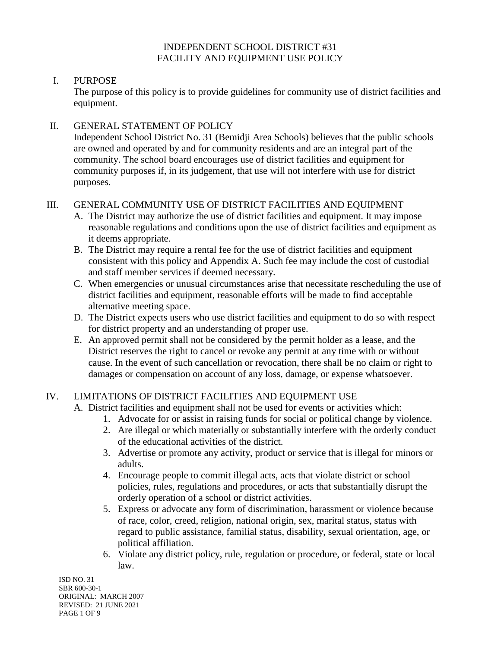#### INDEPENDENT SCHOOL DISTRICT #31 FACILITY AND EQUIPMENT USE POLICY

#### I. PURPOSE

The purpose of this policy is to provide guidelines for community use of district facilities and equipment.

### II. GENERAL STATEMENT OF POLICY

Independent School District No. 31 (Bemidji Area Schools) believes that the public schools are owned and operated by and for community residents and are an integral part of the community. The school board encourages use of district facilities and equipment for community purposes if, in its judgement, that use will not interfere with use for district purposes.

# III. GENERAL COMMUNITY USE OF DISTRICT FACILITIES AND EQUIPMENT

- A. The District may authorize the use of district facilities and equipment. It may impose reasonable regulations and conditions upon the use of district facilities and equipment as it deems appropriate.
- B. The District may require a rental fee for the use of district facilities and equipment consistent with this policy and Appendix A. Such fee may include the cost of custodial and staff member services if deemed necessary.
- C. When emergencies or unusual circumstances arise that necessitate rescheduling the use of district facilities and equipment, reasonable efforts will be made to find acceptable alternative meeting space.
- D. The District expects users who use district facilities and equipment to do so with respect for district property and an understanding of proper use.
- E. An approved permit shall not be considered by the permit holder as a lease, and the District reserves the right to cancel or revoke any permit at any time with or without cause. In the event of such cancellation or revocation, there shall be no claim or right to damages or compensation on account of any loss, damage, or expense whatsoever.

## IV. LIMITATIONS OF DISTRICT FACILITIES AND EQUIPMENT USE

A. District facilities and equipment shall not be used for events or activities which:

- 1. Advocate for or assist in raising funds for social or political change by violence.
- 2. Are illegal or which materially or substantially interfere with the orderly conduct of the educational activities of the district.
- 3. Advertise or promote any activity, product or service that is illegal for minors or adults.
- 4. Encourage people to commit illegal acts, acts that violate district or school policies, rules, regulations and procedures, or acts that substantially disrupt the orderly operation of a school or district activities.
- 5. Express or advocate any form of discrimination, harassment or violence because of race, color, creed, religion, national origin, sex, marital status, status with regard to public assistance, familial status, disability, sexual orientation, age, or political affiliation.
- 6. Violate any district policy, rule, regulation or procedure, or federal, state or local law.

ISD NO. 31 SBR 600-30-1 ORIGINAL: MARCH 2007 REVISED: 21 JUNE 2021 PAGE 1 OF 9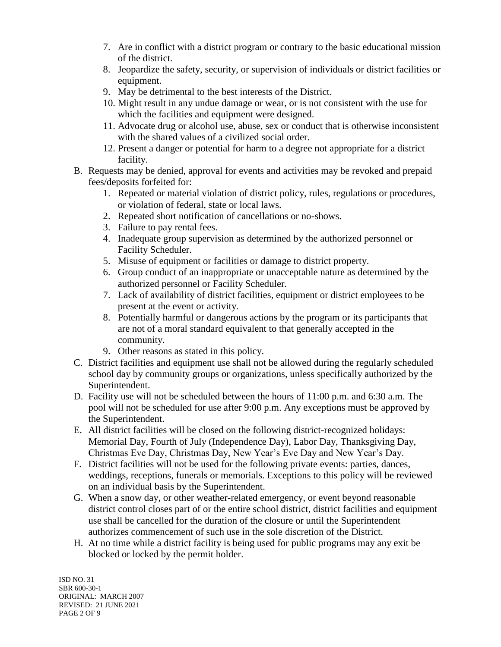- 7. Are in conflict with a district program or contrary to the basic educational mission of the district.
- 8. Jeopardize the safety, security, or supervision of individuals or district facilities or equipment.
- 9. May be detrimental to the best interests of the District.
- 10. Might result in any undue damage or wear, or is not consistent with the use for which the facilities and equipment were designed.
- 11. Advocate drug or alcohol use, abuse, sex or conduct that is otherwise inconsistent with the shared values of a civilized social order.
- 12. Present a danger or potential for harm to a degree not appropriate for a district facility.
- B. Requests may be denied, approval for events and activities may be revoked and prepaid fees/deposits forfeited for:
	- 1. Repeated or material violation of district policy, rules, regulations or procedures, or violation of federal, state or local laws.
	- 2. Repeated short notification of cancellations or no-shows.
	- 3. Failure to pay rental fees.
	- 4. Inadequate group supervision as determined by the authorized personnel or Facility Scheduler.
	- 5. Misuse of equipment or facilities or damage to district property.
	- 6. Group conduct of an inappropriate or unacceptable nature as determined by the authorized personnel or Facility Scheduler.
	- 7. Lack of availability of district facilities, equipment or district employees to be present at the event or activity.
	- 8. Potentially harmful or dangerous actions by the program or its participants that are not of a moral standard equivalent to that generally accepted in the community.
	- 9. Other reasons as stated in this policy.
- C. District facilities and equipment use shall not be allowed during the regularly scheduled school day by community groups or organizations, unless specifically authorized by the Superintendent.
- D. Facility use will not be scheduled between the hours of 11:00 p.m. and 6:30 a.m. The pool will not be scheduled for use after 9:00 p.m. Any exceptions must be approved by the Superintendent.
- E. All district facilities will be closed on the following district-recognized holidays: Memorial Day, Fourth of July (Independence Day), Labor Day, Thanksgiving Day, Christmas Eve Day, Christmas Day, New Year's Eve Day and New Year's Day.
- F. District facilities will not be used for the following private events: parties, dances, weddings, receptions, funerals or memorials. Exceptions to this policy will be reviewed on an individual basis by the Superintendent.
- G. When a snow day, or other weather-related emergency, or event beyond reasonable district control closes part of or the entire school district, district facilities and equipment use shall be cancelled for the duration of the closure or until the Superintendent authorizes commencement of such use in the sole discretion of the District.
- H. At no time while a district facility is being used for public programs may any exit be blocked or locked by the permit holder.

ISD NO. 31 SBR 600-30-1 ORIGINAL: MARCH 2007 REVISED: 21 JUNE 2021 PAGE 2 OF 9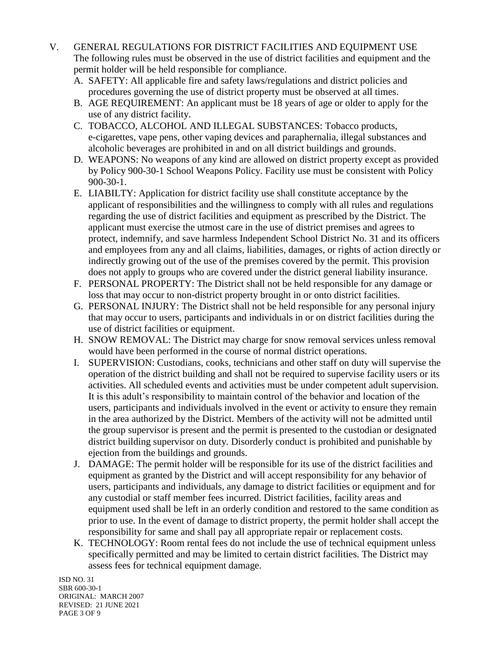- V. GENERAL REGULATIONS FOR DISTRICT FACILITIES AND EQUIPMENT USE The following rules must be observed in the use of district facilities and equipment and the permit holder will be held responsible for compliance.
	- A. SAFETY: All applicable fire and safety laws/regulations and district policies and procedures governing the use of district property must be observed at all times.
	- B. AGE REQUIREMENT: An applicant must be 18 years of age or older to apply for the use of any district facility.
	- C. TOBACCO, ALCOHOL AND ILLEGAL SUBSTANCES: Tobacco products, e-cigarettes, vape pens, other vaping devices and paraphernalia, illegal substances and alcoholic beverages are prohibited in and on all district buildings and grounds.
	- D. WEAPONS: No weapons of any kind are allowed on district property except as provided by Policy 900-30-1 School Weapons Policy. Facility use must be consistent with Policy 900-30-1.
	- E. LIABILTY: Application for district facility use shall constitute acceptance by the applicant of responsibilities and the willingness to comply with all rules and regulations regarding the use of district facilities and equipment as prescribed by the District. The applicant must exercise the utmost care in the use of district premises and agrees to protect, indemnify, and save harmless Independent School District No. 31 and its officers and employees from any and all claims, liabilities, damages, or rights of action directly or indirectly growing out of the use of the premises covered by the permit. This provision does not apply to groups who are covered under the district general liability insurance.
	- F. PERSONAL PROPERTY: The District shall not be held responsible for any damage or loss that may occur to non-district property brought in or onto district facilities.
	- G. PERSONAL INJURY: The District shall not be held responsible for any personal injury that may occur to users, participants and individuals in or on district facilities during the use of district facilities or equipment.
	- H. SNOW REMOVAL: The District may charge for snow removal services unless removal would have been performed in the course of normal district operations.
	- I. SUPERVISION: Custodians, cooks, technicians and other staff on duty will supervise the operation of the district building and shall not be required to supervise facility users or its activities. All scheduled events and activities must be under competent adult supervision. It is this adult's responsibility to maintain control of the behavior and location of the users, participants and individuals involved in the event or activity to ensure they remain in the area authorized by the District. Members of the activity will not be admitted until the group supervisor is present and the permit is presented to the custodian or designated district building supervisor on duty. Disorderly conduct is prohibited and punishable by ejection from the buildings and grounds.
	- J. DAMAGE: The permit holder will be responsible for its use of the district facilities and equipment as granted by the District and will accept responsibility for any behavior of users, participants and individuals, any damage to district facilities or equipment and for any custodial or staff member fees incurred. District facilities, facility areas and equipment used shall be left in an orderly condition and restored to the same condition as prior to use. In the event of damage to district property, the permit holder shall accept the responsibility for same and shall pay all appropriate repair or replacement costs.
	- K. TECHNOLOGY: Room rental fees do not include the use of technical equipment unless specifically permitted and may be limited to certain district facilities. The District may assess fees for technical equipment damage.

ISD NO. 31 SBR 600-30-1 ORIGINAL: MARCH 2007 REVISED: 21 JUNE 2021 PAGE 3 OF 9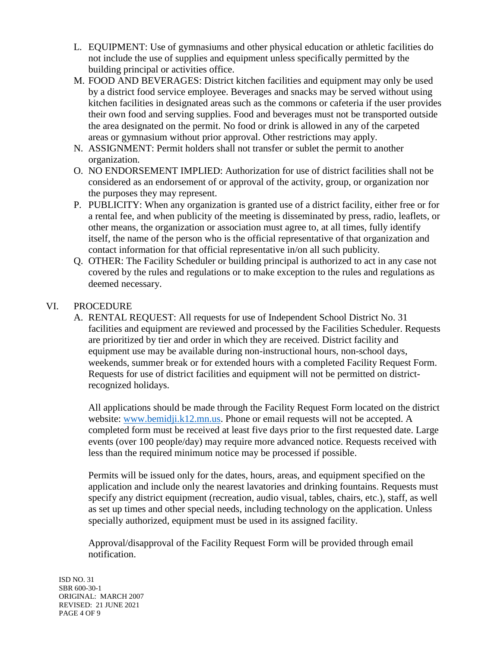- L. EQUIPMENT: Use of gymnasiums and other physical education or athletic facilities do not include the use of supplies and equipment unless specifically permitted by the building principal or activities office.
- M. FOOD AND BEVERAGES: District kitchen facilities and equipment may only be used by a district food service employee. Beverages and snacks may be served without using kitchen facilities in designated areas such as the commons or cafeteria if the user provides their own food and serving supplies. Food and beverages must not be transported outside the area designated on the permit. No food or drink is allowed in any of the carpeted areas or gymnasium without prior approval. Other restrictions may apply.
- N. ASSIGNMENT: Permit holders shall not transfer or sublet the permit to another organization.
- O. NO ENDORSEMENT IMPLIED: Authorization for use of district facilities shall not be considered as an endorsement of or approval of the activity, group, or organization nor the purposes they may represent.
- P. PUBLICITY: When any organization is granted use of a district facility, either free or for a rental fee, and when publicity of the meeting is disseminated by press, radio, leaflets, or other means, the organization or association must agree to, at all times, fully identify itself, the name of the person who is the official representative of that organization and contact information for that official representative in/on all such publicity.
- Q. OTHER: The Facility Scheduler or building principal is authorized to act in any case not covered by the rules and regulations or to make exception to the rules and regulations as deemed necessary.

#### VI. PROCEDURE

A. RENTAL REQUEST: All requests for use of Independent School District No. 31 facilities and equipment are reviewed and processed by the Facilities Scheduler. Requests are prioritized by tier and order in which they are received. District facility and equipment use may be available during non-instructional hours, non-school days, weekends, summer break or for extended hours with a completed Facility Request Form. Requests for use of district facilities and equipment will not be permitted on districtrecognized holidays.

All applications should be made through the Facility Request Form located on the district website: [www.bemidji.k12.mn.us.](http://www.bemidji.k12.mn.us/) Phone or email requests will not be accepted. A completed form must be received at least five days prior to the first requested date. Large events (over 100 people/day) may require more advanced notice. Requests received with less than the required minimum notice may be processed if possible.

Permits will be issued only for the dates, hours, areas, and equipment specified on the application and include only the nearest lavatories and drinking fountains. Requests must specify any district equipment (recreation, audio visual, tables, chairs, etc.), staff, as well as set up times and other special needs, including technology on the application. Unless specially authorized, equipment must be used in its assigned facility.

Approval/disapproval of the Facility Request Form will be provided through email notification.

ISD NO. 31 SBR 600-30-1 ORIGINAL: MARCH 2007 REVISED: 21 JUNE 2021 PAGE 4 OF 9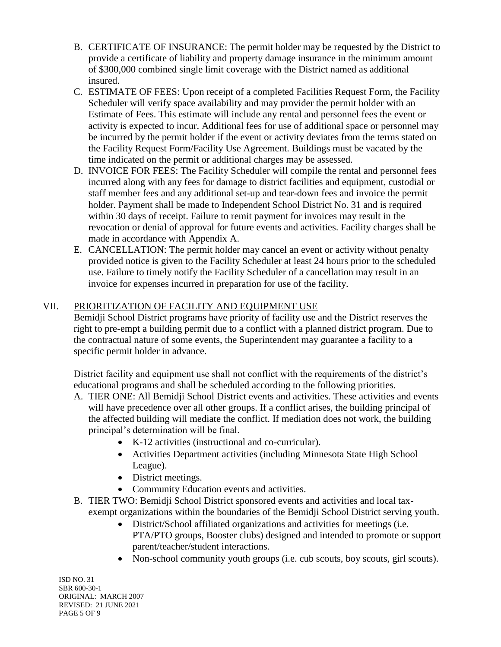- B. CERTIFICATE OF INSURANCE: The permit holder may be requested by the District to provide a certificate of liability and property damage insurance in the minimum amount of \$300,000 combined single limit coverage with the District named as additional insured.
- C. ESTIMATE OF FEES: Upon receipt of a completed Facilities Request Form, the Facility Scheduler will verify space availability and may provider the permit holder with an Estimate of Fees. This estimate will include any rental and personnel fees the event or activity is expected to incur. Additional fees for use of additional space or personnel may be incurred by the permit holder if the event or activity deviates from the terms stated on the Facility Request Form/Facility Use Agreement. Buildings must be vacated by the time indicated on the permit or additional charges may be assessed.
- D. INVOICE FOR FEES: The Facility Scheduler will compile the rental and personnel fees incurred along with any fees for damage to district facilities and equipment, custodial or staff member fees and any additional set-up and tear-down fees and invoice the permit holder. Payment shall be made to Independent School District No. 31 and is required within 30 days of receipt. Failure to remit payment for invoices may result in the revocation or denial of approval for future events and activities. Facility charges shall be made in accordance with Appendix A.
- E. CANCELLATION: The permit holder may cancel an event or activity without penalty provided notice is given to the Facility Scheduler at least 24 hours prior to the scheduled use. Failure to timely notify the Facility Scheduler of a cancellation may result in an invoice for expenses incurred in preparation for use of the facility.

## VII. PRIORITIZATION OF FACILITY AND EQUIPMENT USE

Bemidji School District programs have priority of facility use and the District reserves the right to pre-empt a building permit due to a conflict with a planned district program. Due to the contractual nature of some events, the Superintendent may guarantee a facility to a specific permit holder in advance.

District facility and equipment use shall not conflict with the requirements of the district's educational programs and shall be scheduled according to the following priorities.

- A. TIER ONE: All Bemidji School District events and activities. These activities and events will have precedence over all other groups. If a conflict arises, the building principal of the affected building will mediate the conflict. If mediation does not work, the building principal's determination will be final.
	- K-12 activities (instructional and co-curricular).
	- Activities Department activities (including Minnesota State High School League).
	- District meetings.
	- Community Education events and activities.
- B. TIER TWO: Bemidji School District sponsored events and activities and local taxexempt organizations within the boundaries of the Bemidji School District serving youth.
	- District/School affiliated organizations and activities for meetings (i.e. PTA/PTO groups, Booster clubs) designed and intended to promote or support parent/teacher/student interactions.
	- Non-school community youth groups (i.e. cub scouts, boy scouts, girl scouts).

ISD NO. 31 SBR 600-30-1 ORIGINAL: MARCH 2007 REVISED: 21 JUNE 2021 PAGE 5 OF 9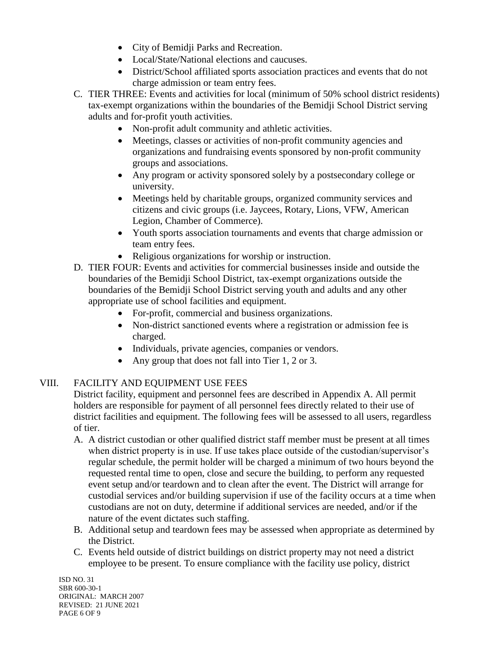- City of Bemidji Parks and Recreation.
- Local/State/National elections and caucuses.
- District/School affiliated sports association practices and events that do not charge admission or team entry fees.
- C. TIER THREE: Events and activities for local (minimum of 50% school district residents) tax-exempt organizations within the boundaries of the Bemidji School District serving adults and for-profit youth activities.
	- Non-profit adult community and athletic activities.
	- Meetings, classes or activities of non-profit community agencies and organizations and fundraising events sponsored by non-profit community groups and associations.
	- Any program or activity sponsored solely by a postsecondary college or university.
	- Meetings held by charitable groups, organized community services and citizens and civic groups (i.e. Jaycees, Rotary, Lions, VFW, American Legion, Chamber of Commerce).
	- Youth sports association tournaments and events that charge admission or team entry fees.
	- Religious organizations for worship or instruction.
- D. TIER FOUR: Events and activities for commercial businesses inside and outside the boundaries of the Bemidji School District, tax-exempt organizations outside the boundaries of the Bemidji School District serving youth and adults and any other appropriate use of school facilities and equipment.
	- For-profit, commercial and business organizations.
	- Non-district sanctioned events where a registration or admission fee is charged.
	- Individuals, private agencies, companies or vendors.
	- Any group that does not fall into Tier 1, 2 or 3.

## VIII. FACILITY AND EQUIPMENT USE FEES

District facility, equipment and personnel fees are described in Appendix A. All permit holders are responsible for payment of all personnel fees directly related to their use of district facilities and equipment. The following fees will be assessed to all users, regardless of tier.

- A. A district custodian or other qualified district staff member must be present at all times when district property is in use. If use takes place outside of the custodian/supervisor's regular schedule, the permit holder will be charged a minimum of two hours beyond the requested rental time to open, close and secure the building, to perform any requested event setup and/or teardown and to clean after the event. The District will arrange for custodial services and/or building supervision if use of the facility occurs at a time when custodians are not on duty, determine if additional services are needed, and/or if the nature of the event dictates such staffing.
- B. Additional setup and teardown fees may be assessed when appropriate as determined by the District.
- C. Events held outside of district buildings on district property may not need a district employee to be present. To ensure compliance with the facility use policy, district

ISD NO. 31 SBR 600-30-1 ORIGINAL: MARCH 2007 REVISED: 21 JUNE 2021 PAGE 6 OF 9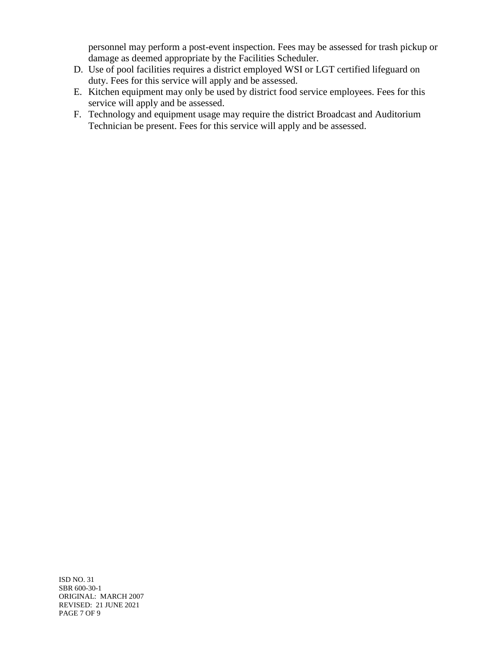personnel may perform a post-event inspection. Fees may be assessed for trash pickup or damage as deemed appropriate by the Facilities Scheduler.

- D. Use of pool facilities requires a district employed WSI or LGT certified lifeguard on duty. Fees for this service will apply and be assessed.
- E. Kitchen equipment may only be used by district food service employees. Fees for this service will apply and be assessed.
- F. Technology and equipment usage may require the district Broadcast and Auditorium Technician be present. Fees for this service will apply and be assessed.

ISD NO. 31 SBR 600-30-1 ORIGINAL: MARCH 2007 REVISED: 21 JUNE 2021 PAGE 7 OF 9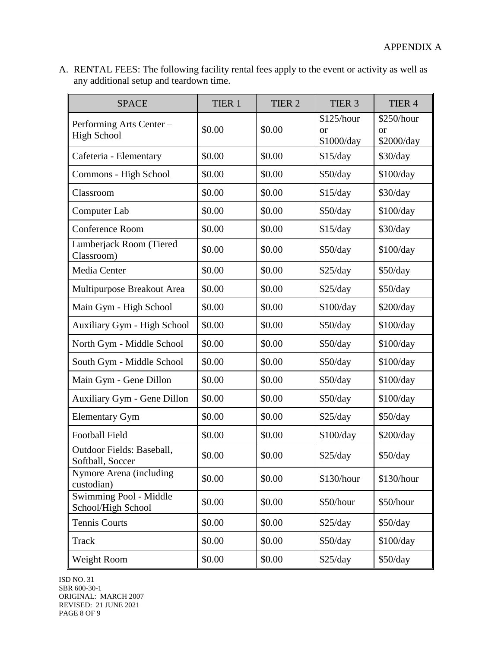A. RENTAL FEES: The following facility rental fees apply to the event or activity as well as any additional setup and teardown time.

| <b>SPACE</b>                                   | TIER 1 | TIER <sub>2</sub> | TIER <sub>3</sub>                         | TIER 4                         |
|------------------------------------------------|--------|-------------------|-------------------------------------------|--------------------------------|
| Performing Arts Center -<br><b>High School</b> | \$0.00 | \$0.00            | \$125/hour<br><sub>or</sub><br>\$1000/day | \$250/hour<br>or<br>\$2000/day |
| Cafeteria - Elementary                         | \$0.00 | \$0.00            | \$15/day                                  | \$30/day                       |
| Commons - High School                          | \$0.00 | \$0.00            | \$50/day                                  | \$100/day                      |
| Classroom                                      | \$0.00 | \$0.00            | \$15/day                                  | \$30/day                       |
| Computer Lab                                   | \$0.00 | \$0.00            | \$50/day                                  | \$100/day                      |
| Conference Room                                | \$0.00 | \$0.00            | \$15/day                                  | \$30/day                       |
| Lumberjack Room (Tiered<br>Classroom)          | \$0.00 | \$0.00            | \$50/day                                  | \$100/day                      |
| Media Center                                   | \$0.00 | \$0.00            | \$25/day                                  | \$50/day                       |
| Multipurpose Breakout Area                     | \$0.00 | \$0.00            | \$25/day                                  | \$50/day                       |
| Main Gym - High School                         | \$0.00 | \$0.00            | \$100/day                                 | \$200/day                      |
| <b>Auxiliary Gym - High School</b>             | \$0.00 | \$0.00            | \$50/day                                  | \$100/day                      |
| North Gym - Middle School                      | \$0.00 | \$0.00            | \$50/day                                  | \$100/day                      |
| South Gym - Middle School                      | \$0.00 | \$0.00            | \$50/day                                  | \$100/day                      |
| Main Gym - Gene Dillon                         | \$0.00 | \$0.00            | \$50/day                                  | \$100/day                      |
| Auxiliary Gym - Gene Dillon                    | \$0.00 | \$0.00            | \$50/day                                  | \$100/day                      |
| <b>Elementary Gym</b>                          | \$0.00 | \$0.00            | \$25/day                                  | \$50/day                       |
| <b>Football Field</b>                          | \$0.00 | \$0.00            | \$100/day                                 | \$200/day                      |
| Outdoor Fields: Baseball,<br>Softball, Soccer  | \$0.00 | \$0.00            | \$25/day                                  | \$50/day                       |
| Nymore Arena (including<br>custodian)          | \$0.00 | \$0.00            | \$130/hour                                | \$130/hour                     |
| Swimming Pool - Middle<br>School/High School   | \$0.00 | \$0.00            | \$50/hour                                 | \$50/hour                      |
| <b>Tennis Courts</b>                           | \$0.00 | \$0.00            | \$25/day                                  | \$50/day                       |
| <b>Track</b>                                   | \$0.00 | \$0.00            | \$50/day                                  | \$100/day                      |
| Weight Room                                    | \$0.00 | \$0.00            | \$25/day                                  | \$50/day                       |

ISD NO. 31 SBR 600-30-1 ORIGINAL: MARCH 2007 REVISED: 21 JUNE 2021 PAGE 8 OF 9